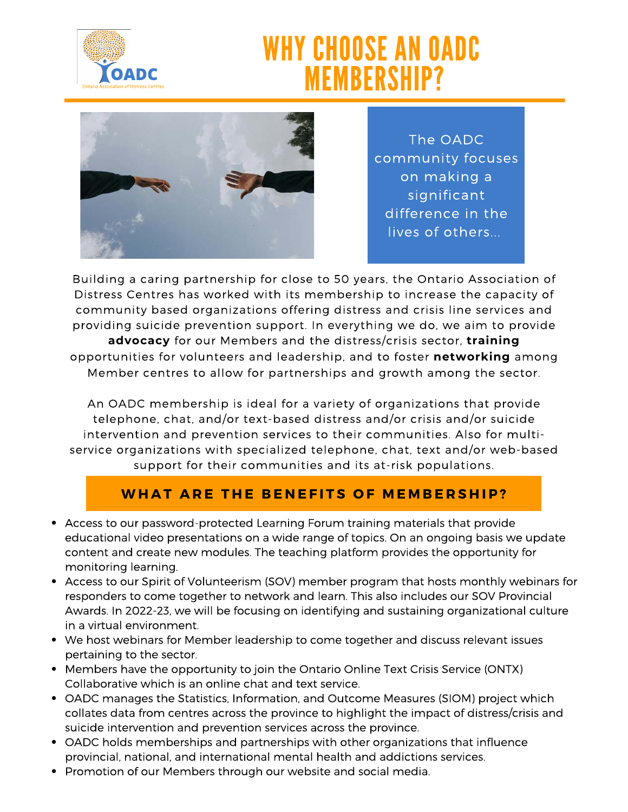

# WHY CHOOSE AN OADC MEMBERSHIP?



The OADC community focuses on making a significant difference in the lives of others...

Building a caring partnership for close to 50 years, the Ontario Association of Distress Centres has worked with its membership to increase the capacity of community based organizations offering distress and crisis line services and providing suicide prevention support. In everything we do, we aim to provide **advocacy** for our Members and the distress/crisis sector, **training** opportunities for volunteers and leadership, and to foster **networking** among Member centres to allow for partnerships and growth among the sector.

An OADC membership is ideal for a variety of organizations that provide telephone, chat, and/or text-based distress and/or crisis and/or suicide intervention and prevention services to their communities. Also for multiservice organizations with specialized telephone, chat, text and/or web-based support for their communities and its at-risk populations.

## **WHAT ARE THE BENEFITS OF MEMBERSHIP?**

- Access to our password-protected Learning Forum training materials that provide educational video presentations on a wide range of topics. On an ongoing basis we update content and create new modules. The teaching platform provides the opportunity for monitoring learning.
- Access to our Spirit of Volunteerism (SOV) member program that hosts monthly webinars for responders to come together to network and learn. This also includes our SOV Provincial Awards. In 2022-23, we will be focusing on identifying and sustaining organizational culture in a virtual environment.
- We host webinars for Member leadership to come together and discuss relevant issues pertaining to the sector.
- Members have the opportunity to join the Ontario Online Text Crisis Service (ONTX) Collaborative which is an online chat and text service.
- OADC manages the Statistics, Information, and Outcome Measures (SIOM) project which collates data from centres across the province to highlight the impact of distress/crisis and suicide intervention and prevention services across the province.
- OADC holds memberships and partnerships with other organizations that influence provincial, national, and international mental health and addictions services.
- Promotion of our Members through our website and social media.